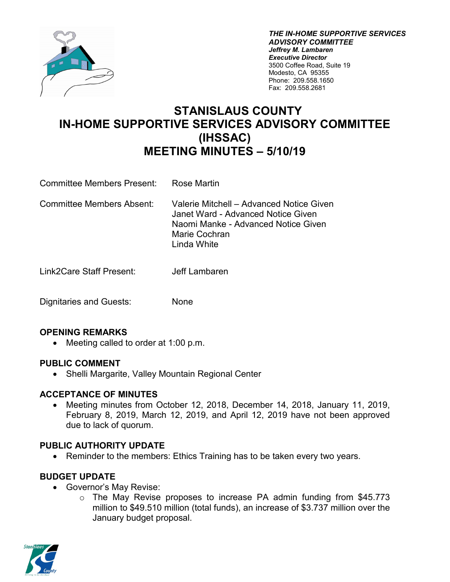

*THE IN-HOME SUPPORTIVE SERVICES ADVISORY COMMITTEE Jeffrey M. Lambaren Executive Director* 3500 Coffee Road, Suite 19 Modesto, CA 95355 Phone: 209.558.1650 Fax: 209.558.2681

# **STANISLAUS COUNTY IN-HOME SUPPORTIVE SERVICES ADVISORY COMMITTEE (IHSSAC) MEETING MINUTES – 5/10/19**

- Committee Members Present: Rose Martin
- Committee Members Absent: Valerie Mitchell Advanced Notice Given Janet Ward - Advanced Notice Given Naomi Manke - Advanced Notice Given Marie Cochran Linda White
- Link2Care Staff Present: Jeff Lambaren
- Dignitaries and Guests: None

### **OPENING REMARKS**

• Meeting called to order at 1:00 p.m.

### **PUBLIC COMMENT**

• Shelli Margarite, Valley Mountain Regional Center

### **ACCEPTANCE OF MINUTES**

• Meeting minutes from October 12, 2018, December 14, 2018, January 11, 2019, February 8, 2019, March 12, 2019, and April 12, 2019 have not been approved due to lack of quorum.

# **PUBLIC AUTHORITY UPDATE**

• Reminder to the members: Ethics Training has to be taken every two years.

### **BUDGET UPDATE**

- Governor's May Revise:
	- o The May Revise proposes to increase PA admin funding from \$45.773 million to \$49.510 million (total funds), an increase of \$3.737 million over the January budget proposal.

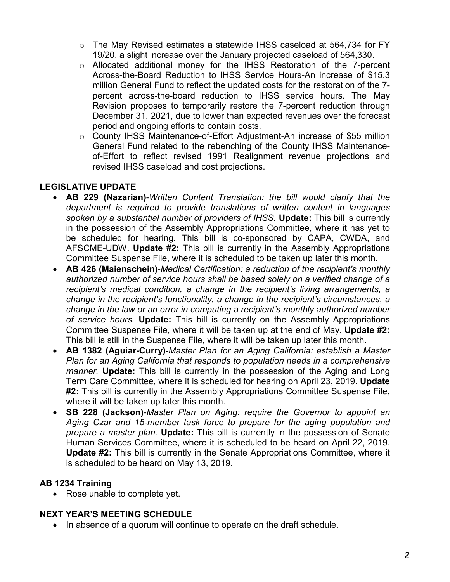- o The May Revised estimates a statewide IHSS caseload at 564,734 for FY 19/20, a slight increase over the January projected caseload of 564,330.
- $\circ$  Allocated additional money for the IHSS Restoration of the 7-percent Across-the-Board Reduction to IHSS Service Hours-An increase of \$15.3 million General Fund to reflect the updated costs for the restoration of the 7 percent across-the-board reduction to IHSS service hours. The May Revision proposes to temporarily restore the 7-percent reduction through December 31, 2021, due to lower than expected revenues over the forecast period and ongoing efforts to contain costs.
- o County IHSS Maintenance-of-Effort Adjustment-An increase of \$55 million General Fund related to the rebenching of the County IHSS Maintenanceof-Effort to reflect revised 1991 Realignment revenue projections and revised IHSS caseload and cost projections.

# **LEGISLATIVE UPDATE**

- **AB 229 (Nazarian)**-*Written Content Translation: the bill would clarify that the department is required to provide translations of written content in languages spoken by a substantial number of providers of IHSS.* **Update:** This bill is currently in the possession of the Assembly Appropriations Committee, where it has yet to be scheduled for hearing. This bill is co-sponsored by CAPA, CWDA, and AFSCME-UDW. **Update #2:** This bill is currently in the Assembly Appropriations Committee Suspense File, where it is scheduled to be taken up later this month.
- **AB 426 (Maienschein)**-*Medical Certification: a reduction of the recipient's monthly authorized number of service hours shall be based solely on a verified change of a recipient's medical condition, a change in the recipient's living arrangements, a change in the recipient's functionality, a change in the recipient's circumstances, a change in the law or an error in computing a recipient's monthly authorized number of service hours.* **Update:** This bill is currently on the Assembly Appropriations Committee Suspense File, where it will be taken up at the end of May. **Update #2:** This bill is still in the Suspense File, where it will be taken up later this month.
- **AB 1382 (Aguiar-Curry)**-*Master Plan for an Aging California: establish a Master Plan for an Aging California that responds to population needs in a comprehensive manner.* **Update:** This bill is currently in the possession of the Aging and Long Term Care Committee, where it is scheduled for hearing on April 23, 2019. **Update #2:** This bill is currently in the Assembly Appropriations Committee Suspense File, where it will be taken up later this month.
- **SB 228 (Jackson)**-*Master Plan on Aging: require the Governor to appoint an Aging Czar and 15-member task force to prepare for the aging population and prepare a master plan.* **Update:** This bill is currently in the possession of Senate Human Services Committee, where it is scheduled to be heard on April 22, 2019. **Update #2:** This bill is currently in the Senate Appropriations Committee, where it is scheduled to be heard on May 13, 2019.

# **AB 1234 Training**

• Rose unable to complete yet.

# **NEXT YEAR'S MEETING SCHEDULE**

• In absence of a quorum will continue to operate on the draft schedule.